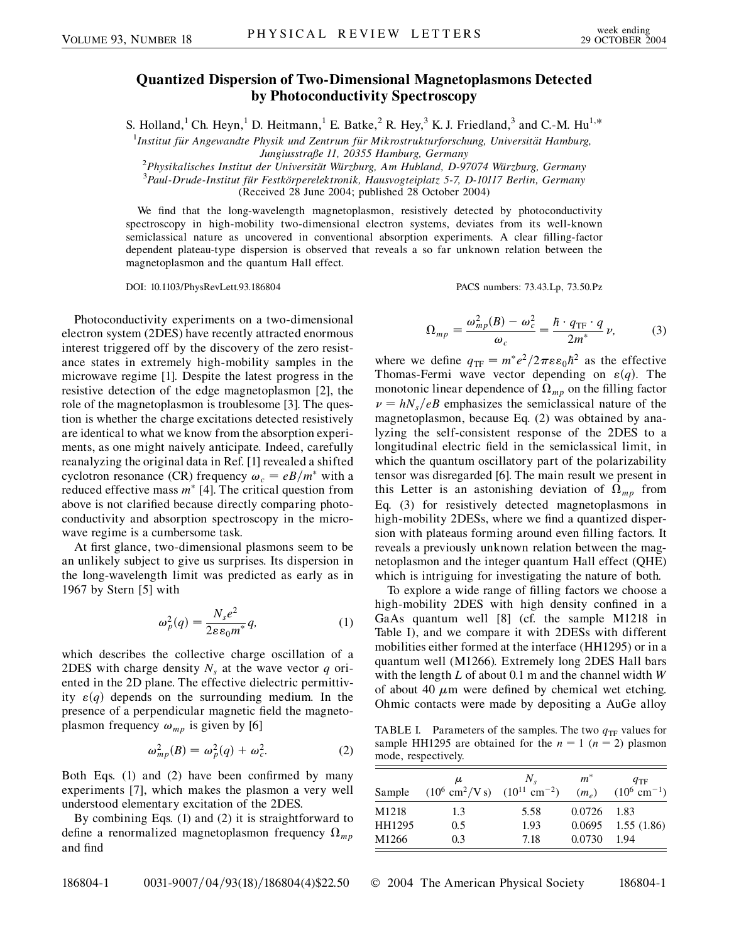## **Quantized Dispersion of Two-Dimensional Magnetoplasmons Detected by Photoconductivity Spectroscopy**

S. Holland,<sup>1</sup> Ch. Heyn,<sup>1</sup> D. Heitmann,<sup>1</sup> E. Batke,<sup>2</sup> R. Hey,<sup>3</sup> K. J. Friedland,<sup>3</sup> and C.-M. Hu<sup>1,\*</sup>

<sup>1</sup>Institut für Angewandte Physik und Zentrum für Mikrostrukturforschung, Universität Hamburg, *Jungiusstraße 11, 20355 Hamburg, Germany*<br><sup>2</sup> Physikalisakes Institut der Universität Würzburg, Am Hubland, D.93

*Physikalisches Institut der Universita¨t Wu¨rzburg, Am Hubland, D-97074 Wu¨rzburg, Germany* <sup>3</sup> *Paul-Drude-Institut fu¨r Festko¨rperelektronik, Hausvogteiplatz 5-7, D-10117 Berlin, Germany*

(Received 28 June 2004; published 28 October 2004)

We find that the long-wavelength magnetoplasmon, resistively detected by photoconductivity spectroscopy in high-mobility two-dimensional electron systems, deviates from its well-known semiclassical nature as uncovered in conventional absorption experiments. A clear filling-factor dependent plateau-type dispersion is observed that reveals a so far unknown relation between the magnetoplasmon and the quantum Hall effect.

DOI: 10.1103/PhysRevLett.93.186804 PACS numbers: 73.43.Lp, 73.50.Pz

Photoconductivity experiments on a two-dimensional electron system (2DES) have recently attracted enormous interest triggered off by the discovery of the zero resistance states in extremely high-mobility samples in the microwave regime [1]. Despite the latest progress in the resistive detection of the edge magnetoplasmon [2], the role of the magnetoplasmon is troublesome [3]. The question is whether the charge excitations detected resistively are identical to what we know from the absorption experiments, as one might naively anticipate. Indeed, carefully reanalyzing the original data in Ref. [1] revealed a shifted cyclotron resonance (CR) frequency  $\omega_c = eB/m^*$  with a reduced effective mass  $m^*$  [4]. The critical question from above is not clarified because directly comparing photoconductivity and absorption spectroscopy in the microwave regime is a cumbersome task.

At first glance, two-dimensional plasmons seem to be an unlikely subject to give us surprises. Its dispersion in the long-wavelength limit was predicted as early as in 1967 by Stern [5] with

$$
\omega_p^2(q) = \frac{N_s e^2}{2\varepsilon\varepsilon_0 m^*} q,\tag{1}
$$

which describes the collective charge oscillation of a 2DES with charge density  $N_s$  at the wave vector  $q$  oriented in the 2D plane. The effective dielectric permittivity  $\varepsilon(q)$  depends on the surrounding medium. In the presence of a perpendicular magnetic field the magnetoplasmon frequency  $\omega_{mp}$  is given by [6]

$$
\omega_{mp}^2(B) = \omega_p^2(q) + \omega_c^2. \tag{2}
$$

Both Eqs. (1) and (2) have been confirmed by many experiments [7], which makes the plasmon a very well understood elementary excitation of the 2DES.

By combining Eqs. (1) and (2) it is straightforward to define a renormalized magnetoplasmon frequency  $\Omega_{mp}$ and find

$$
\Omega_{mp} \equiv \frac{\omega_{mp}^2(B) - \omega_c^2}{\omega_c} = \frac{\hbar \cdot q_{\text{TF}} \cdot q}{2m^*} \nu,
$$
 (3)

where we define 
$$
q_{TF} = m^* e^2 / 2\pi \varepsilon_0 \hbar^2
$$
 as the effective  
Thomas-Fermi wave vector depending on  $\varepsilon(q)$ . The  
monotonic linear dependence of  $\Omega_{mp}$  on the filling factor  
 $\nu = hN_s/eB$  emphasizes the semiclassical nature of the  
magnetoplasmon, because Eq. (2) was obtained by ana-  
lyzing the self-consistent response of the 2DES to a  
longitudinal electric field in the semiclassical limit, in  
which the quantum oscillatory part of the polarizability  
tensor was disregarded [6]. The main result we present in  
this Letter is an astonishing deviation of  $\Omega_{mp}$  from  
Eq. (3) for resistively detected magnetoplasmons in  
high-mobility 2DESs, where we find a quantized disper-  
sion with plateaus forming around even filling factors. It  
reveals a previously unknown relation between the mag-  
netoplasmon and the integer quantum Hall effect (QHE)  
which is intriguing for investigating the nature of both.

To explore a wide range of filling factors we choose a high-mobility 2DES with high density confined in a GaAs quantum well [8] (cf. the sample M1218 in Table I), and we compare it with 2DESs with different mobilities either formed at the interface (HH1295) or in a quantum well (M1266). Extremely long 2DES Hall bars with the length *L* of about 0.1 m and the channel width *W* of about 40  $\mu$ m were defined by chemical wet etching. Ohmic contacts were made by depositing a AuGe alloy

TABLE I. Parameters of the samples. The two  $q_{TF}$  values for sample HH1295 are obtained for the  $n = 1$  ( $n = 2$ ) plasmon mode, respectively.

| Sample | μ<br>$(10^6 \text{ cm}^2/\text{V s})$ $(10^{11} \text{ cm}^{-2})$ | $N_{\rm c}$ | $m^*$<br>$(m_e)$ | $q_{\rm TF}$<br>$(10^6 \text{ cm}^{-1})$ |
|--------|-------------------------------------------------------------------|-------------|------------------|------------------------------------------|
| M1218  | 1.3                                                               | 5.58        | $0.0726$ 1.83    |                                          |
| HH1295 | 0.5                                                               | 1.93        |                  | $0.0695$ 1.55 (1.86)                     |
| M1266  | 0.3                                                               | 7.18        | 0.0730           | 1.94                                     |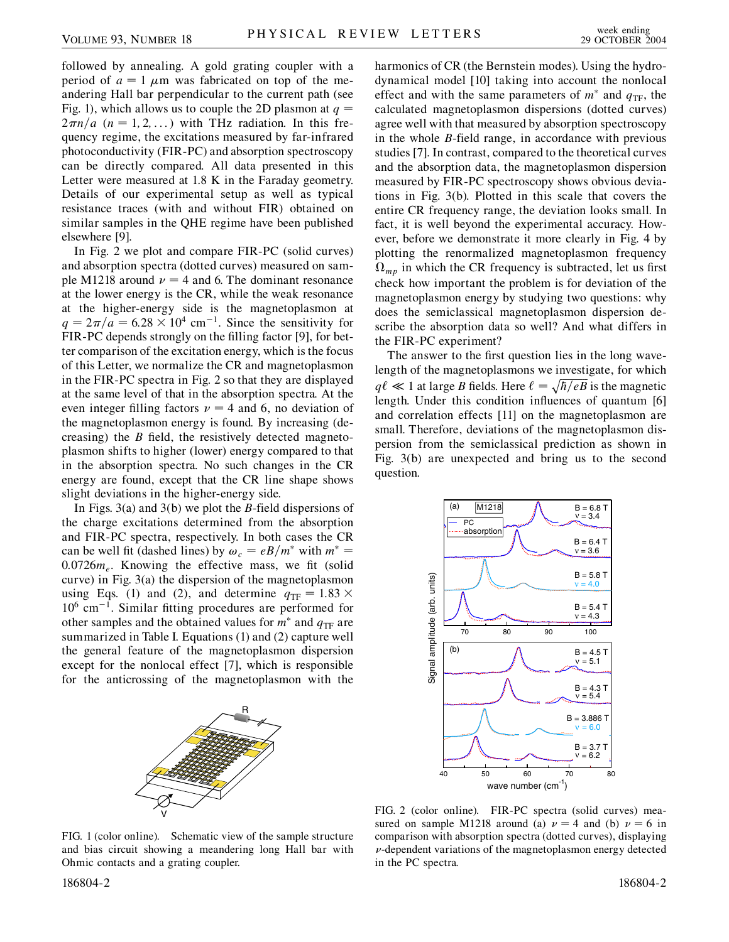followed by annealing. A gold grating coupler with a period of  $a = 1 \mu m$  was fabricated on top of the meandering Hall bar perpendicular to the current path (see Fig. 1), which allows us to couple the 2D plasmon at  $q =$  $2\pi n/a$  ( $n = 1, 2, \ldots$ ) with THz radiation. In this frequency regime, the excitations measured by far-infrared photoconductivity (FIR-PC) and absorption spectroscopy can be directly compared. All data presented in this Letter were measured at 1.8 K in the Faraday geometry. Details of our experimental setup as well as typical resistance traces (with and without FIR) obtained on similar samples in the QHE regime have been published elsewhere [9].

In Fig. 2 we plot and compare FIR-PC (solid curves) and absorption spectra (dotted curves) measured on sample M1218 around  $\nu = 4$  and 6. The dominant resonance at the lower energy is the CR, while the weak resonance at the higher-energy side is the magnetoplasmon at  $q = 2\pi/a = 6.28 \times 10^4$  cm<sup>-1</sup>. Since the sensitivity for FIR-PC depends strongly on the filling factor [9], for better comparison of the excitation energy, which is the focus of this Letter, we normalize the CR and magnetoplasmon in the FIR-PC spectra in Fig. 2 so that they are displayed at the same level of that in the absorption spectra. At the even integer filling factors  $\nu = 4$  and 6, no deviation of the magnetoplasmon energy is found. By increasing (decreasing) the *B* field, the resistively detected magnetoplasmon shifts to higher (lower) energy compared to that in the absorption spectra. No such changes in the CR energy are found, except that the CR line shape shows slight deviations in the higher-energy side.

In Figs. 3(a) and 3(b) we plot the *B*-field dispersions of the charge excitations determined from the absorption and FIR-PC spectra, respectively. In both cases the CR can be well fit (dashed lines) by  $\omega_c = eB/m^*$  with  $m^* =$  $0.0726m<sub>e</sub>$ . Knowing the effective mass, we fit (solid curve) in Fig. 3(a) the dispersion of the magnetoplasmon using Eqs. (1) and (2), and determine  $q_{\text{TF}} = 1.83 \times$  $10^6$  cm<sup>-1</sup>. Similar fitting procedures are performed for other samples and the obtained values for  $m^*$  and  $q_{\text{TF}}$  are summarized in Table I. Equations (1) and (2) capture well the general feature of the magnetoplasmon dispersion except for the nonlocal effect [7], which is responsible for the anticrossing of the magnetoplasmon with the



harmonics of CR (the Bernstein modes). Using the hydrodynamical model [10] taking into account the nonlocal effect and with the same parameters of  $m^*$  and  $q_{TF}$ , the calculated magnetoplasmon dispersions (dotted curves) agree well with that measured by absorption spectroscopy in the whole *B*-field range, in accordance with previous studies [7]. In contrast, compared to the theoretical curves and the absorption data, the magnetoplasmon dispersion measured by FIR-PC spectroscopy shows obvious deviations in Fig. 3(b). Plotted in this scale that covers the entire CR frequency range, the deviation looks small. In fact, it is well beyond the experimental accuracy. However, before we demonstrate it more clearly in Fig. 4 by plotting the renormalized magnetoplasmon frequency  $\Omega_{mp}$  in which the CR frequency is subtracted, let us first check how important the problem is for deviation of the magnetoplasmon energy by studying two questions: why does the semiclassical magnetoplasmon dispersion describe the absorption data so well? And what differs in the FIR-PC experiment?

The answer to the first question lies in the long wavelength of the magnetoplasmons we investigate, for which  $q\ell \ll 1$  at large *B* fields. Here  $\ell = \sqrt{\hbar/eB}$  is the magnetic length. Under this condition influences of quantum [6] and correlation effects [11] on the magnetoplasmon are small. Therefore, deviations of the magnetoplasmon dispersion from the semiclassical prediction as shown in Fig. 3(b) are unexpected and bring us to the second question.



FIG. 1 (color online). Schematic view of the sample structure and bias circuit showing a meandering long Hall bar with Ohmic contacts and a grating coupler.

186804-2 186804-2

FIG. 2 (color online). FIR-PC spectra (solid curves) measured on sample M1218 around (a)  $\nu = 4$  and (b)  $\nu = 6$  in comparison with absorption spectra (dotted curves), displaying  $\nu$ -dependent variations of the magnetoplasmon energy detected in the PC spectra.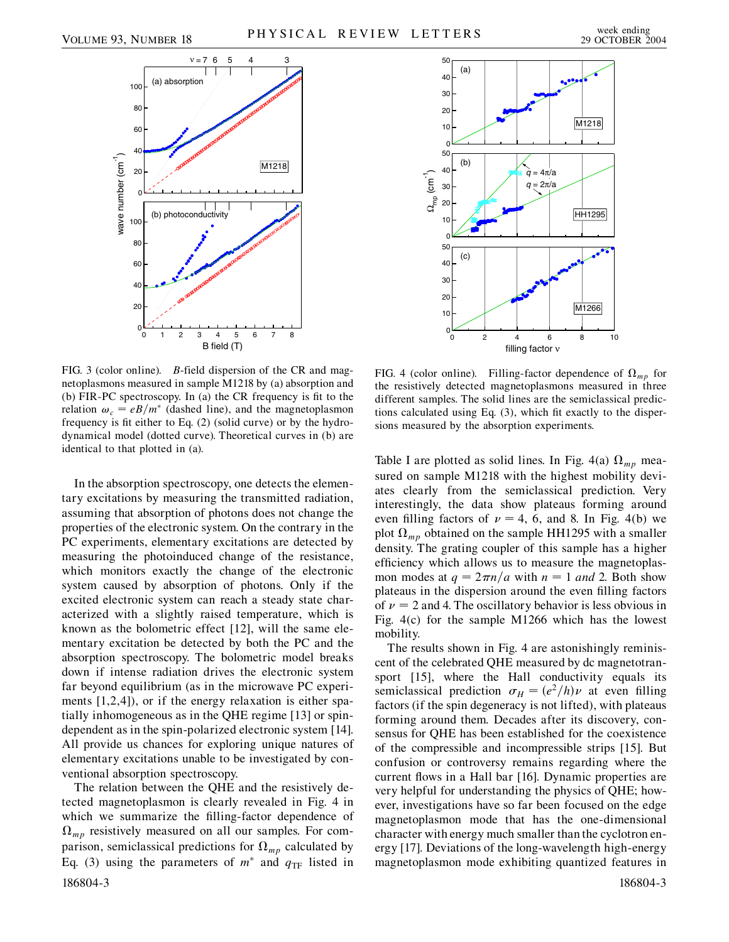

FIG. 3 (color online). *B*-field dispersion of the CR and magnetoplasmons measured in sample M1218 by (a) absorption and (b) FIR-PC spectroscopy. In (a) the CR frequency is fit to the relation  $\omega_c = eB/m^*$  (dashed line), and the magnetoplasmon frequency is fit either to Eq. (2) (solid curve) or by the hydrodynamical model (dotted curve). Theoretical curves in (b) are identical to that plotted in (a).

In the absorption spectroscopy, one detects the elementary excitations by measuring the transmitted radiation, assuming that absorption of photons does not change the properties of the electronic system. On the contrary in the PC experiments, elementary excitations are detected by measuring the photoinduced change of the resistance, which monitors exactly the change of the electronic system caused by absorption of photons. Only if the excited electronic system can reach a steady state characterized with a slightly raised temperature, which is known as the bolometric effect [12], will the same elementary excitation be detected by both the PC and the absorption spectroscopy. The bolometric model breaks down if intense radiation drives the electronic system far beyond equilibrium (as in the microwave PC experiments [1,2,4]), or if the energy relaxation is either spatially inhomogeneous as in the QHE regime [13] or spindependent as in the spin-polarized electronic system [14]. All provide us chances for exploring unique natures of elementary excitations unable to be investigated by conventional absorption spectroscopy.

The relation between the QHE and the resistively detected magnetoplasmon is clearly revealed in Fig. 4 in which we summarize the filling-factor dependence of  $\Omega_{mp}$  resistively measured on all our samples. For comparison, semiclassical predictions for  $\Omega_{mp}$  calculated by Eq. (3) using the parameters of  $m^*$  and  $q_{\text{TF}}$  listed in 186804-3 186804-3



FIG. 4 (color online). Filling-factor dependence of  $\Omega_{mp}$  for the resistively detected magnetoplasmons measured in three different samples. The solid lines are the semiclassical predictions calculated using Eq. (3), which fit exactly to the dispersions measured by the absorption experiments.

Table I are plotted as solid lines. In Fig. 4(a)  $\Omega_{mp}$  measured on sample M1218 with the highest mobility deviates clearly from the semiclassical prediction. Very interestingly, the data show plateaus forming around even filling factors of  $\nu = 4$ , 6, and 8. In Fig. 4(b) we plot  $\Omega_{mp}$  obtained on the sample HH1295 with a smaller density. The grating coupler of this sample has a higher efficiency which allows us to measure the magnetoplasmon modes at  $q = 2\pi n/a$  with  $n = 1$  *and* 2. Both show plateaus in the dispersion around the even filling factors of  $\nu = 2$  and 4. The oscillatory behavior is less obvious in Fig. 4(c) for the sample M1266 which has the lowest mobility.

The results shown in Fig. 4 are astonishingly reminiscent of the celebrated QHE measured by dc magnetotransport [15], where the Hall conductivity equals its semiclassical prediction  $\sigma_H = (e^2/h)\nu$  at even filling factors (if the spin degeneracy is not lifted), with plateaus forming around them. Decades after its discovery, consensus for QHE has been established for the coexistence of the compressible and incompressible strips [15]. But confusion or controversy remains regarding where the current flows in a Hall bar [16]. Dynamic properties are very helpful for understanding the physics of QHE; however, investigations have so far been focused on the edge magnetoplasmon mode that has the one-dimensional character with energy much smaller than the cyclotron energy [17]. Deviations of the long-wavelength high-energy magnetoplasmon mode exhibiting quantized features in